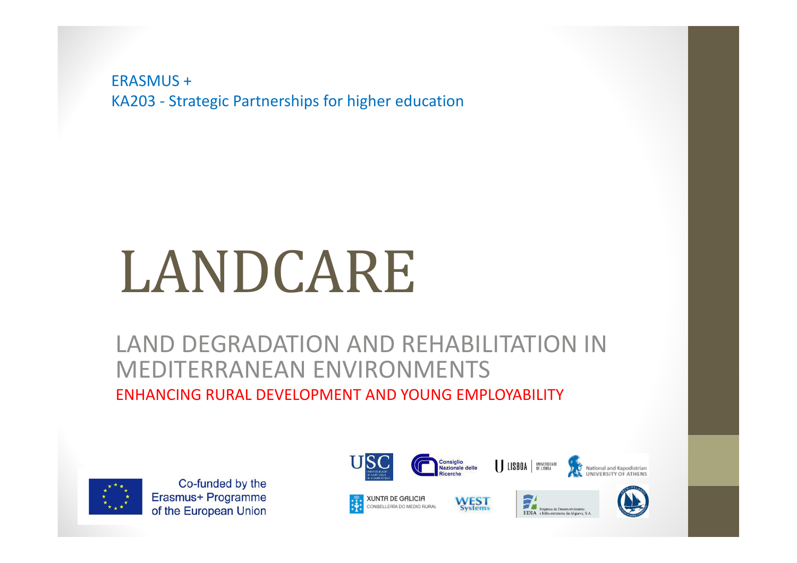ERASMUS +KA203 - Strategic Partnerships for higher education

# LANDCARE

#### LAND DEGRADATION AND REHABILITATION IN MEDITERRANEAN ENVIRONMENTSENHANCING RURAL DEVELOPMENT AND YOUNG EMPLOYABILITY



Co-funded by the Erasmus+ Programme of the European Union





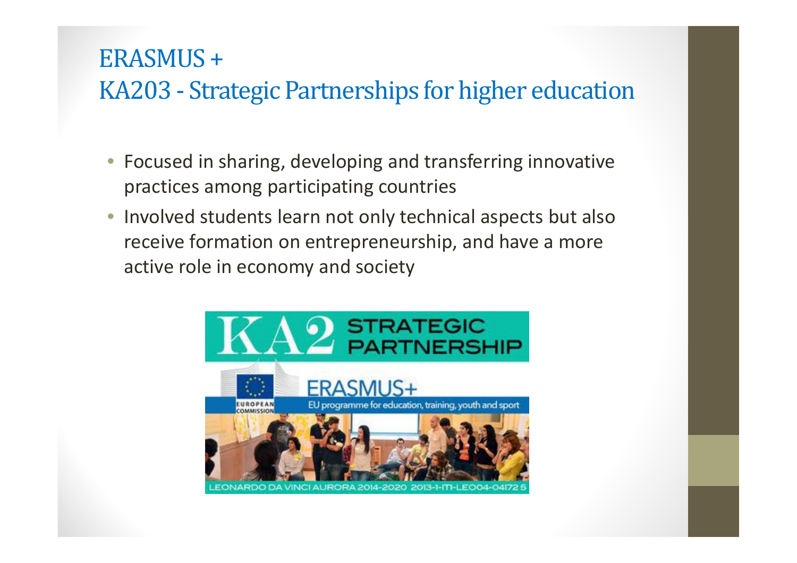#### ERASMUS +KA203 - Strategic Partnerships for higher education

- $\bullet$  Focused in sharing, developing and transferring innovative practices among participating countries
- $\bigcirc$  Involved students learn not only technical aspects but also receive formation on entrepreneurship, and have a more active role in economy and society

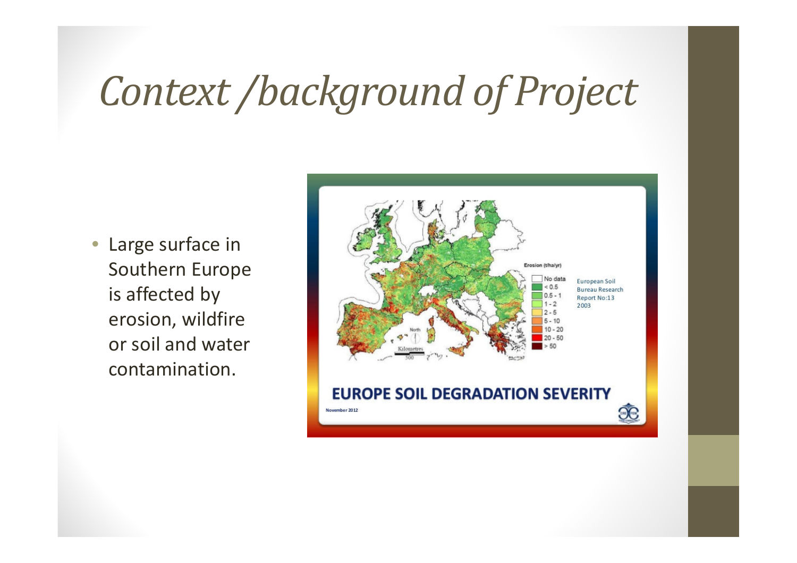### *Context /background of Project*

• Large surface in Southern Europe is affected by erosion, wildfire or soil and water contamination.

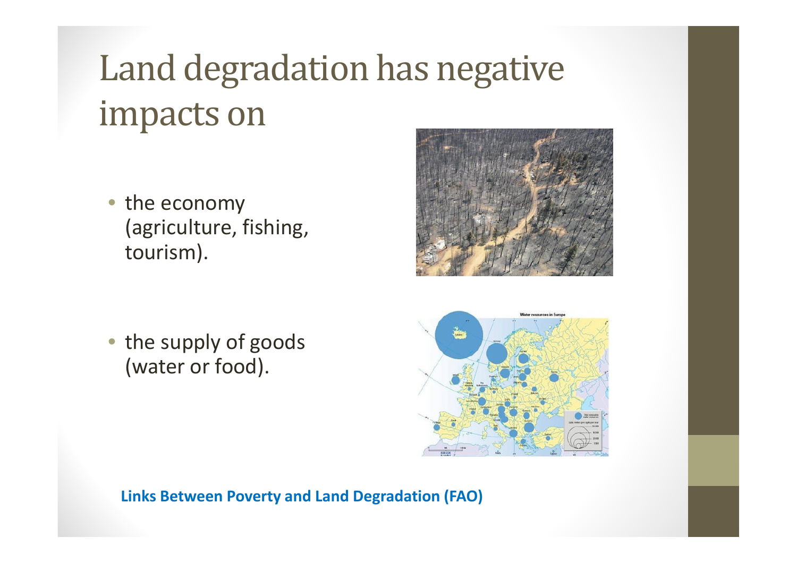## Land degradation has negative impacts on

• the economy (agriculture, fishing, tourism).

• the supply of goods (water or food).





**Links Between Poverty and Land Degradation (FAO)**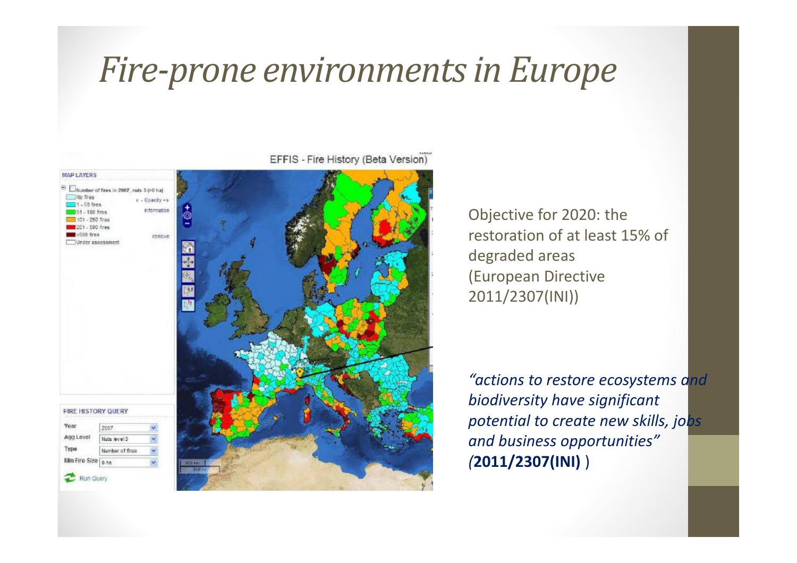#### *Fire-prone environments in Europe*



EFFIS - Fire History (Beta Version)

Objective for 2020: the restoration of at least 15% of degraded areas(European Directive 2011/2307(INI))

*"actions to restore ecosystems and biodiversity have significant potential to create new skills, jobs and business opportunities" (***2011/2307(INI)** )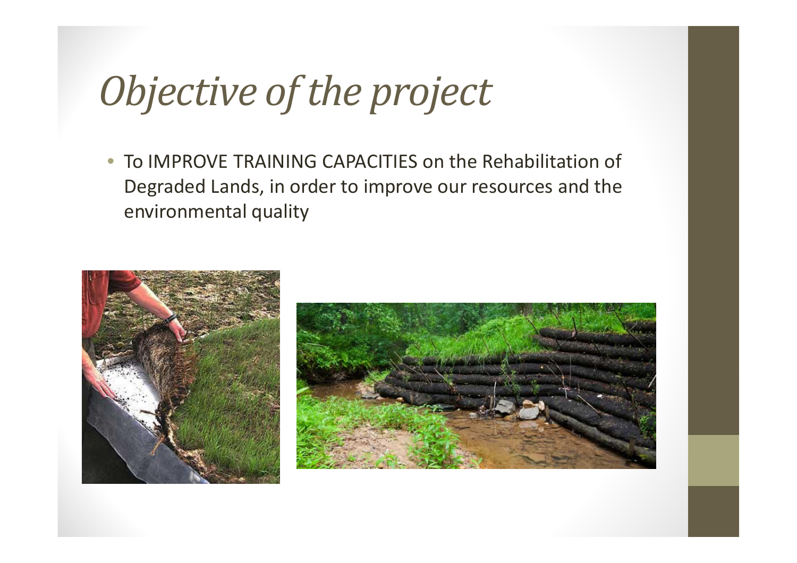### *Objective of the project*

 $\overline{\phantom{0}}$  To IMPROVE TRAINING CAPACITIES on the Rehabilitation of Degraded Lands, in order to improve our resources and the environmental quality



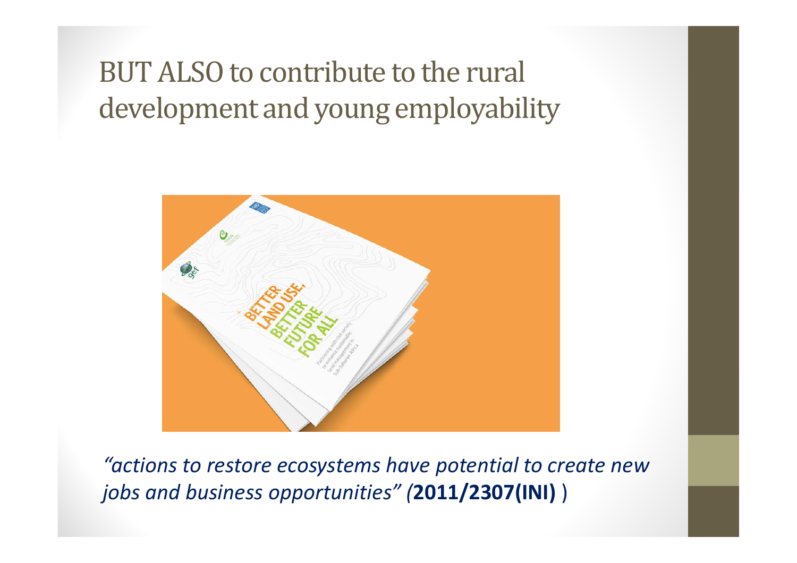#### BUT ALSO to contribute to the rural development and young employability



*"actions to restore ecosystems have potential to create new jobs and business opportunities" (***2011/2307(INI)** )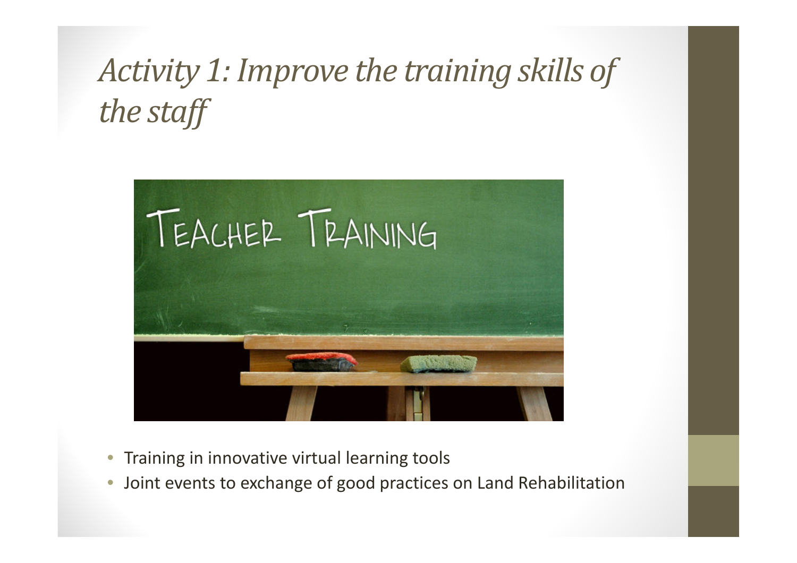#### *Activity 1: Improve the training skills of the staff*



- $\bullet$ Training in innovative virtual learning tools
- •Joint events to exchange of good practices on Land Rehabilitation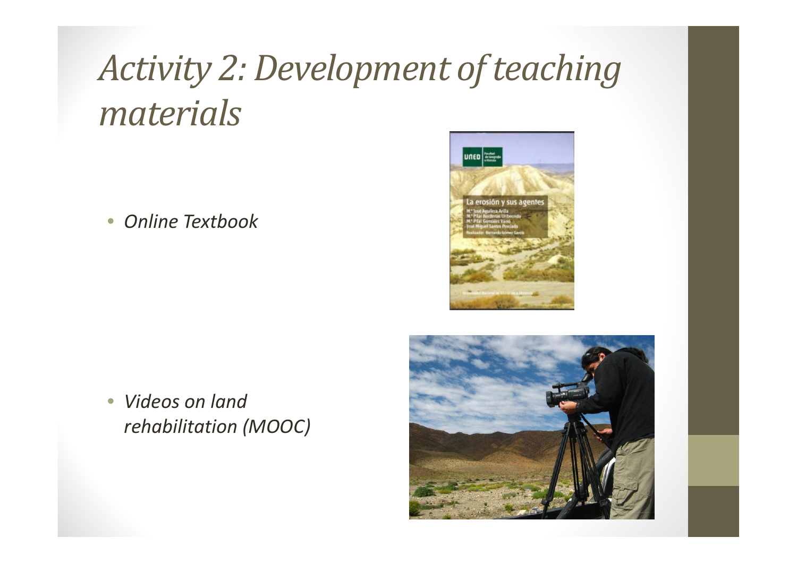### *Activity 2: Development of teaching materials*

 $\bullet$ *Online Textbook*



 $\overline{\phantom{0}}$  *Videos on landrehabilitation (MOOC)*

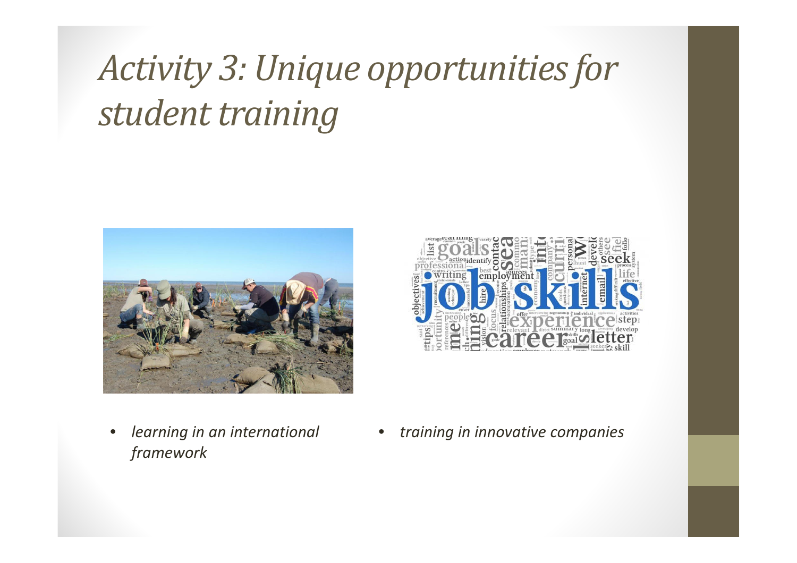### *Activity 3: Unique opportunities for student training*



employment **Tree Footer** 

- • *learning in an international framework*
- •*training in innovative companies*